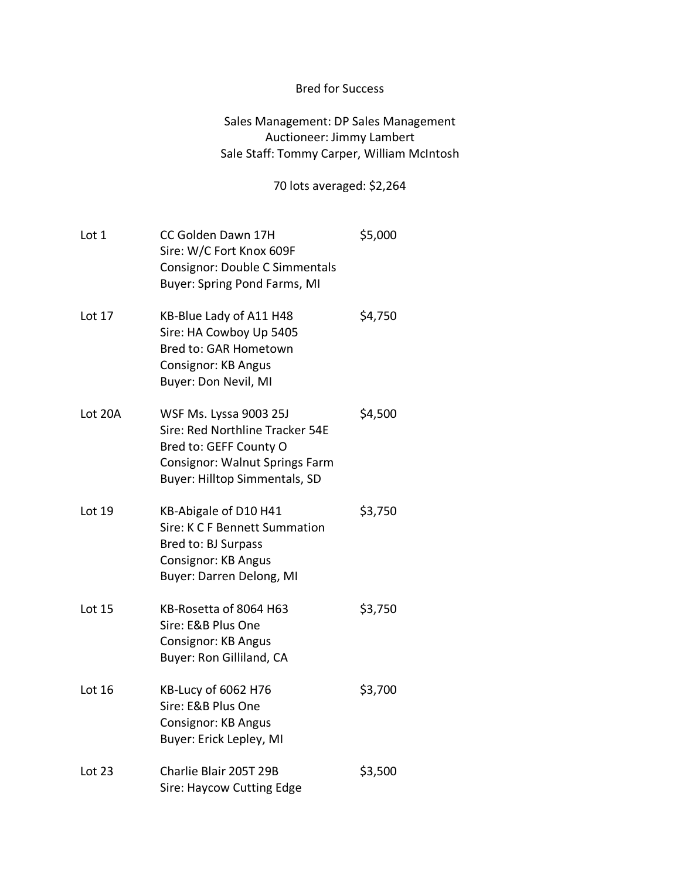## Bred for Success

## Sales Management: DP Sales Management Auctioneer: Jimmy Lambert Sale Staff: Tommy Carper, William McIntosh

## 70 lots averaged: \$2,264

| Lot 1         | CC Golden Dawn 17H<br>Sire: W/C Fort Knox 609F<br>Consignor: Double C Simmentals<br><b>Buyer: Spring Pond Farms, MI</b>                                       | \$5,000 |
|---------------|---------------------------------------------------------------------------------------------------------------------------------------------------------------|---------|
| Lot 17        | KB-Blue Lady of A11 H48<br>Sire: HA Cowboy Up 5405<br>Bred to: GAR Hometown<br><b>Consignor: KB Angus</b><br>Buyer: Don Nevil, MI                             | \$4,750 |
| Lot 20A       | WSF Ms. Lyssa 9003 25J<br>Sire: Red Northline Tracker 54E<br>Bred to: GEFF County O<br><b>Consignor: Walnut Springs Farm</b><br>Buyer: Hilltop Simmentals, SD | \$4,500 |
| Lot 19        | KB-Abigale of D10 H41<br>Sire: K C F Bennett Summation<br>Bred to: BJ Surpass<br><b>Consignor: KB Angus</b><br>Buyer: Darren Delong, MI                       | \$3,750 |
| <b>Lot 15</b> | KB-Rosetta of 8064 H63<br>Sire: E&B Plus One<br>Consignor: KB Angus<br>Buyer: Ron Gilliland, CA                                                               | \$3,750 |
| Lot 16        | KB-Lucy of 6062 H76<br>Sire: E&B Plus One<br><b>Consignor: KB Angus</b><br>Buyer: Erick Lepley, MI                                                            | \$3,700 |
| Lot $23$      | Charlie Blair 205T 29B<br>Sire: Haycow Cutting Edge                                                                                                           | \$3,500 |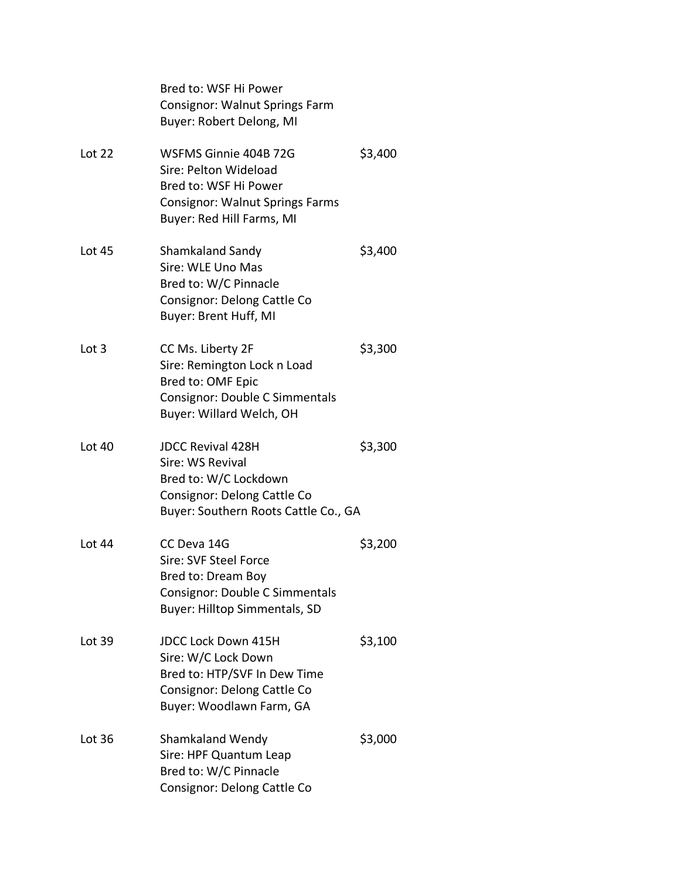|               | Bred to: WSF Hi Power<br><b>Consignor: Walnut Springs Farm</b><br>Buyer: Robert Delong, MI                                                     |         |
|---------------|------------------------------------------------------------------------------------------------------------------------------------------------|---------|
| Lot $22$      | WSFMS Ginnie 404B 72G<br>Sire: Pelton Wideload<br>Bred to: WSF Hi Power<br><b>Consignor: Walnut Springs Farms</b><br>Buyer: Red Hill Farms, MI | \$3,400 |
| <b>Lot 45</b> | Shamkaland Sandy<br>Sire: WLE Uno Mas<br>Bred to: W/C Pinnacle<br>Consignor: Delong Cattle Co<br>Buyer: Brent Huff, MI                         | \$3,400 |
| Lot 3         | CC Ms. Liberty 2F<br>Sire: Remington Lock n Load<br>Bred to: OMF Epic<br><b>Consignor: Double C Simmentals</b><br>Buyer: Willard Welch, OH     | \$3,300 |
| <b>Lot 40</b> | <b>JDCC Revival 428H</b><br>Sire: WS Revival<br>Bred to: W/C Lockdown<br>Consignor: Delong Cattle Co<br>Buyer: Southern Roots Cattle Co., GA   | \$3,300 |
| Lot 44        | CC Deva 14G<br>Sire: SVF Steel Force<br>Bred to: Dream Boy<br>Consignor: Double C Simmentals<br><b>Buyer: Hilltop Simmentals, SD</b>           | \$3,200 |
| Lot 39        | <b>JDCC Lock Down 415H</b><br>Sire: W/C Lock Down<br>Bred to: HTP/SVF In Dew Time<br>Consignor: Delong Cattle Co<br>Buyer: Woodlawn Farm, GA   | \$3,100 |
| Lot 36        | <b>Shamkaland Wendy</b><br>Sire: HPF Quantum Leap<br>Bred to: W/C Pinnacle<br>Consignor: Delong Cattle Co                                      | \$3,000 |